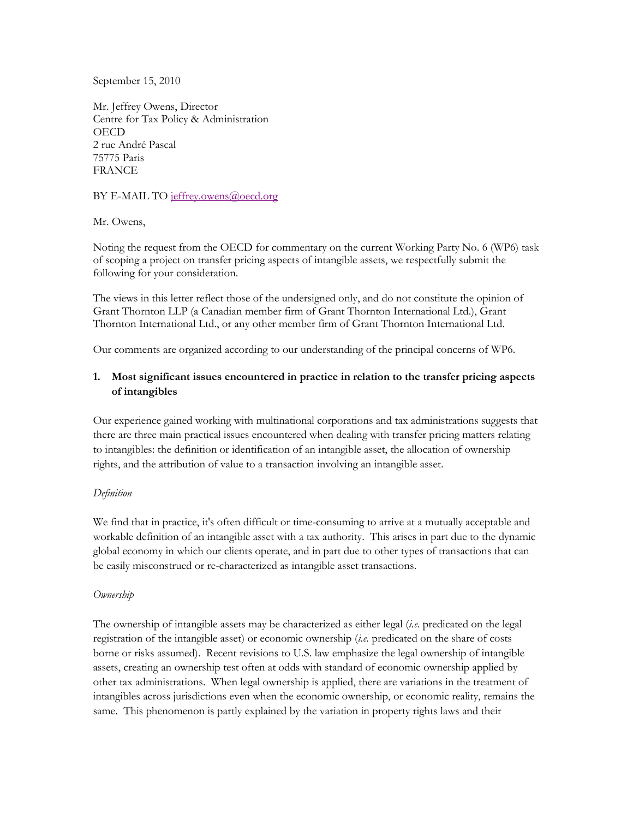September 15, 2010

Mr. Jeffrey Owens, Director Centre for Tax Policy & Administration **OECD** 2 rue André Pascal 75775 Paris FRANCE

## BY E-MAIL TO [jeffrey.owens@oecd.org](mailto:jeffrey.owens@oecd.org)

Mr. Owens,

Noting the request from the OECD for commentary on the current Working Party No. 6 (WP6) task of scoping a project on transfer pricing aspects of intangible assets, we respectfully submit the following for your consideration.

The views in this letter reflect those of the undersigned only, and do not constitute the opinion of Grant Thornton LLP (a Canadian member firm of Grant Thornton International Ltd.), Grant Thornton International Ltd., or any other member firm of Grant Thornton International Ltd.

Our comments are organized according to our understanding of the principal concerns of WP6.

# **1. Most significant issues encountered in practice in relation to the transfer pricing aspects of intangibles**

Our experience gained working with multinational corporations and tax administrations suggests that there are three main practical issues encountered when dealing with transfer pricing matters relating to intangibles: the definition or identification of an intangible asset, the allocation of ownership rights, and the attribution of value to a transaction involving an intangible asset.

## *Definition*

We find that in practice, it's often difficult or time-consuming to arrive at a mutually acceptable and workable definition of an intangible asset with a tax authority. This arises in part due to the dynamic global economy in which our clients operate, and in part due to other types of transactions that can be easily misconstrued or re-characterized as intangible asset transactions.

## *Ownership*

The ownership of intangible assets may be characterized as either legal (*i.e.* predicated on the legal registration of the intangible asset) or economic ownership (*i.e.* predicated on the share of costs borne or risks assumed). Recent revisions to U.S. law emphasize the legal ownership of intangible assets, creating an ownership test often at odds with standard of economic ownership applied by other tax administrations. When legal ownership is applied, there are variations in the treatment of intangibles across jurisdictions even when the economic ownership, or economic reality, remains the same. This phenomenon is partly explained by the variation in property rights laws and their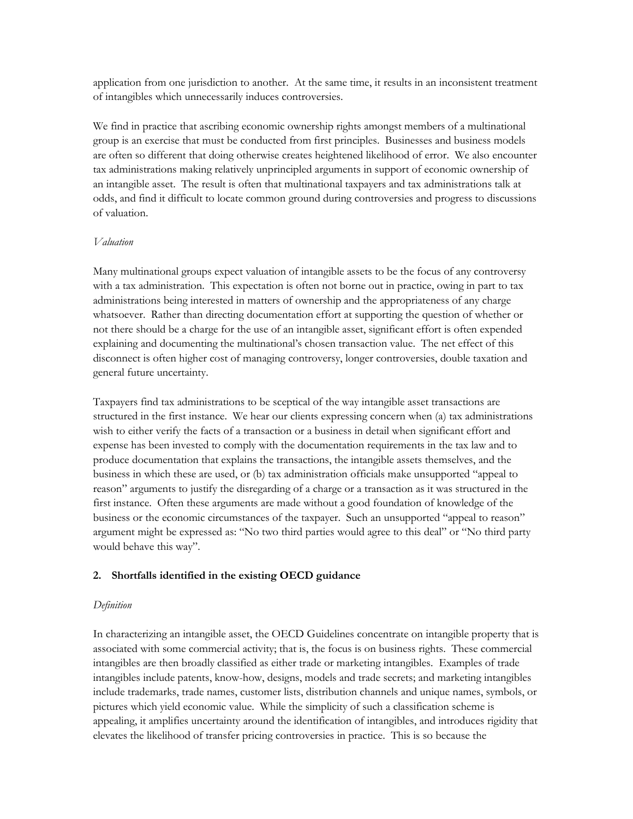application from one jurisdiction to another. At the same time, it results in an inconsistent treatment of intangibles which unnecessarily induces controversies.

We find in practice that ascribing economic ownership rights amongst members of a multinational group is an exercise that must be conducted from first principles. Businesses and business models are often so different that doing otherwise creates heightened likelihood of error. We also encounter tax administrations making relatively unprincipled arguments in support of economic ownership of an intangible asset. The result is often that multinational taxpayers and tax administrations talk at odds, and find it difficult to locate common ground during controversies and progress to discussions of valuation.

#### *Valuation*

Many multinational groups expect valuation of intangible assets to be the focus of any controversy with a tax administration. This expectation is often not borne out in practice, owing in part to tax administrations being interested in matters of ownership and the appropriateness of any charge whatsoever. Rather than directing documentation effort at supporting the question of whether or not there should be a charge for the use of an intangible asset, significant effort is often expended explaining and documenting the multinational's chosen transaction value. The net effect of this disconnect is often higher cost of managing controversy, longer controversies, double taxation and general future uncertainty.

Taxpayers find tax administrations to be sceptical of the way intangible asset transactions are structured in the first instance. We hear our clients expressing concern when (a) tax administrations wish to either verify the facts of a transaction or a business in detail when significant effort and expense has been invested to comply with the documentation requirements in the tax law and to produce documentation that explains the transactions, the intangible assets themselves, and the business in which these are used, or (b) tax administration officials make unsupported "appeal to reason" arguments to justify the disregarding of a charge or a transaction as it was structured in the first instance. Often these arguments are made without a good foundation of knowledge of the business or the economic circumstances of the taxpayer. Such an unsupported "appeal to reason" argument might be expressed as: "No two third parties would agree to this deal" or "No third party would behave this way".

### **2. Shortfalls identified in the existing OECD guidance**

#### *Definition*

In characterizing an intangible asset, the OECD Guidelines concentrate on intangible property that is associated with some commercial activity; that is, the focus is on business rights. These commercial intangibles are then broadly classified as either trade or marketing intangibles. Examples of trade intangibles include patents, know-how, designs, models and trade secrets; and marketing intangibles include trademarks, trade names, customer lists, distribution channels and unique names, symbols, or pictures which yield economic value. While the simplicity of such a classification scheme is appealing, it amplifies uncertainty around the identification of intangibles, and introduces rigidity that elevates the likelihood of transfer pricing controversies in practice. This is so because the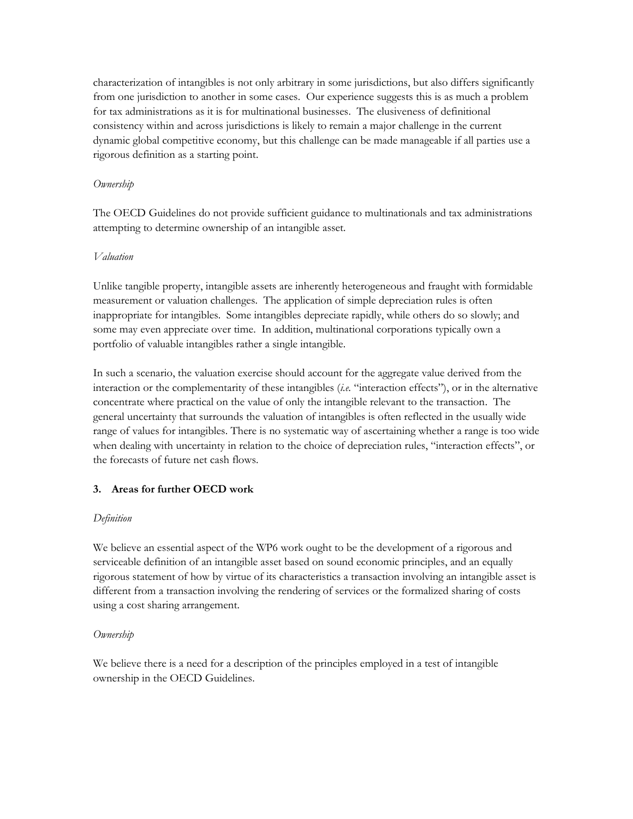characterization of intangibles is not only arbitrary in some jurisdictions, but also differs significantly from one jurisdiction to another in some cases. Our experience suggests this is as much a problem for tax administrations as it is for multinational businesses. The elusiveness of definitional consistency within and across jurisdictions is likely to remain a major challenge in the current dynamic global competitive economy, but this challenge can be made manageable if all parties use a rigorous definition as a starting point.

### *Ownership*

The OECD Guidelines do not provide sufficient guidance to multinationals and tax administrations attempting to determine ownership of an intangible asset.

## *Valuation*

Unlike tangible property, intangible assets are inherently heterogeneous and fraught with formidable measurement or valuation challenges. The application of simple depreciation rules is often inappropriate for intangibles. Some intangibles depreciate rapidly, while others do so slowly; and some may even appreciate over time. In addition, multinational corporations typically own a portfolio of valuable intangibles rather a single intangible.

In such a scenario, the valuation exercise should account for the aggregate value derived from the interaction or the complementarity of these intangibles (*i.e.* "interaction effects"), or in the alternative concentrate where practical on the value of only the intangible relevant to the transaction. The general uncertainty that surrounds the valuation of intangibles is often reflected in the usually wide range of values for intangibles. There is no systematic way of ascertaining whether a range is too wide when dealing with uncertainty in relation to the choice of depreciation rules, "interaction effects", or the forecasts of future net cash flows.

## **3. Areas for further OECD work**

## *Definition*

We believe an essential aspect of the WP6 work ought to be the development of a rigorous and serviceable definition of an intangible asset based on sound economic principles, and an equally rigorous statement of how by virtue of its characteristics a transaction involving an intangible asset is different from a transaction involving the rendering of services or the formalized sharing of costs using a cost sharing arrangement.

## *Ownership*

We believe there is a need for a description of the principles employed in a test of intangible ownership in the OECD Guidelines.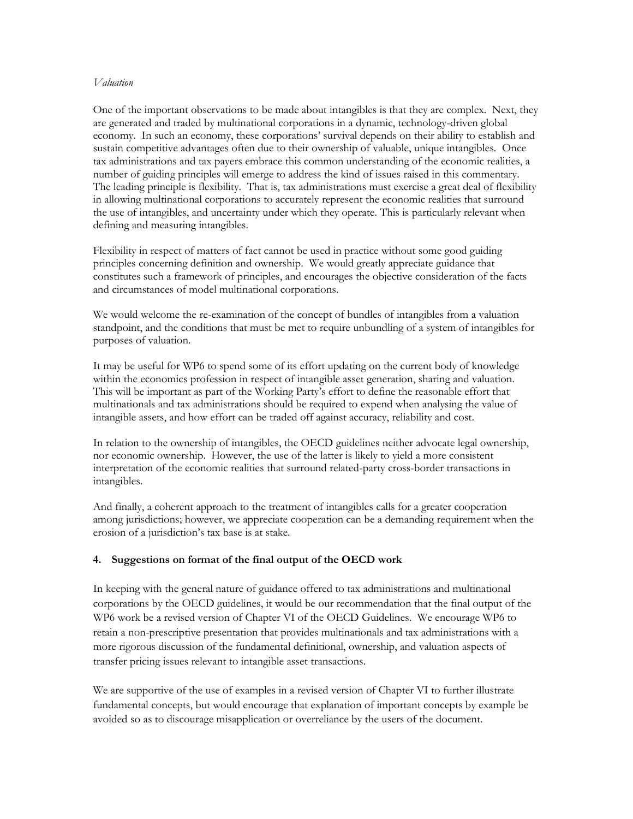### *Valuation*

One of the important observations to be made about intangibles is that they are complex. Next, they are generated and traded by multinational corporations in a dynamic, technology-driven global economy. In such an economy, these corporations' survival depends on their ability to establish and sustain competitive advantages often due to their ownership of valuable, unique intangibles. Once tax administrations and tax payers embrace this common understanding of the economic realities, a number of guiding principles will emerge to address the kind of issues raised in this commentary. The leading principle is flexibility. That is, tax administrations must exercise a great deal of flexibility in allowing multinational corporations to accurately represent the economic realities that surround the use of intangibles, and uncertainty under which they operate. This is particularly relevant when defining and measuring intangibles.

Flexibility in respect of matters of fact cannot be used in practice without some good guiding principles concerning definition and ownership. We would greatly appreciate guidance that constitutes such a framework of principles, and encourages the objective consideration of the facts and circumstances of model multinational corporations.

We would welcome the re-examination of the concept of bundles of intangibles from a valuation standpoint, and the conditions that must be met to require unbundling of a system of intangibles for purposes of valuation.

It may be useful for WP6 to spend some of its effort updating on the current body of knowledge within the economics profession in respect of intangible asset generation, sharing and valuation. This will be important as part of the Working Party's effort to define the reasonable effort that multinationals and tax administrations should be required to expend when analysing the value of intangible assets, and how effort can be traded off against accuracy, reliability and cost.

In relation to the ownership of intangibles, the OECD guidelines neither advocate legal ownership, nor economic ownership. However, the use of the latter is likely to yield a more consistent interpretation of the economic realities that surround related-party cross-border transactions in intangibles.

And finally, a coherent approach to the treatment of intangibles calls for a greater cooperation among jurisdictions; however, we appreciate cooperation can be a demanding requirement when the erosion of a jurisdiction's tax base is at stake.

### **4. Suggestions on format of the final output of the OECD work**

In keeping with the general nature of guidance offered to tax administrations and multinational corporations by the OECD guidelines, it would be our recommendation that the final output of the WP6 work be a revised version of Chapter VI of the OECD Guidelines. We encourage WP6 to retain a non-prescriptive presentation that provides multinationals and tax administrations with a more rigorous discussion of the fundamental definitional, ownership, and valuation aspects of transfer pricing issues relevant to intangible asset transactions.

We are supportive of the use of examples in a revised version of Chapter VI to further illustrate fundamental concepts, but would encourage that explanation of important concepts by example be avoided so as to discourage misapplication or overreliance by the users of the document.